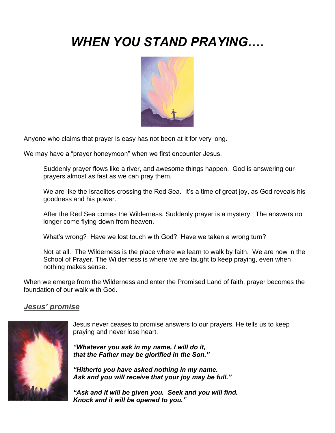# *WHEN YOU STAND PRAYING….*



Anyone who claims that prayer is easy has not been at it for very long.

We may have a "prayer honeymoon" when we first encounter Jesus.

Suddenly prayer flows like a river, and awesome things happen. God is answering our prayers almost as fast as we can pray them.

We are like the Israelites crossing the Red Sea. It's a time of great joy, as God reveals his goodness and his power.

After the Red Sea comes the Wilderness. Suddenly prayer is a mystery. The answers no longer come flying down from heaven.

What's wrong? Have we lost touch with God? Have we taken a wrong turn?

Not at all. The Wilderness is the place where we learn to walk by faith. We are now in the School of Prayer. The Wilderness is where we are taught to keep praying, even when nothing makes sense.

When we emerge from the Wilderness and enter the Promised Land of faith, prayer becomes the foundation of our walk with God.

# *Jesus' promise*



Jesus never ceases to promise answers to our prayers. He tells us to keep praying and never lose heart.

*"Whatever you ask in my name, I will do it, that the Father may be glorified in the Son."*

*"Hitherto you have asked nothing in my name. Ask and you will receive that your joy may be full."*

*"Ask and it will be given you. Seek and you will find. Knock and it will be opened to you."*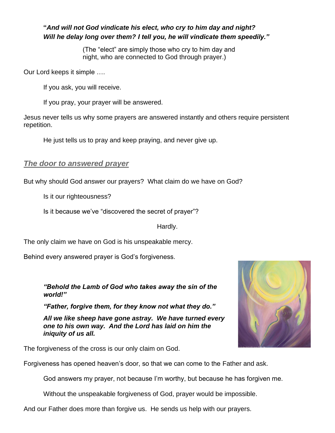### **"***And will not God vindicate his elect, who cry to him day and night? Will he delay long over them? I tell you, he will vindicate them speedily."*

(The "elect" are simply those who cry to him day and night, who are connected to God through prayer.)

Our Lord keeps it simple ….

If you ask, you will receive.

If you pray, your prayer will be answered.

Jesus never tells us why some prayers are answered instantly and others require persistent repetition.

He just tells us to pray and keep praying, and never give up.

## *The door to answered prayer*

But why should God answer our prayers? What claim do we have on God?

Is it our righteousness?

Is it because we've "discovered the secret of prayer"?

Hardly.

The only claim we have on God is his unspeakable mercy.

Behind every answered prayer is God's forgiveness.

*"Behold the Lamb of God who takes away the sin of the world!"*

*"Father, forgive them, for they know not what they do."*

*All we like sheep have gone astray. We have turned every one to his own way. And the Lord has laid on him the iniquity of us all.*

The forgiveness of the cross is our only claim on God.



God answers my prayer, not because I'm worthy, but because he has forgiven me.

Without the unspeakable forgiveness of God, prayer would be impossible.

And our Father does more than forgive us. He sends us help with our prayers.

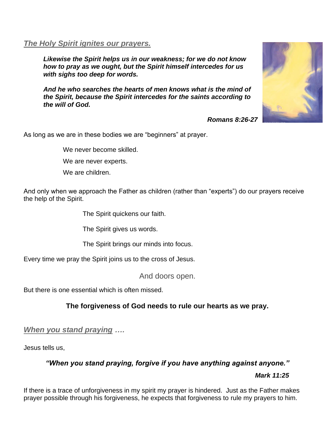#### *The Holy Spirit ignites our prayers.*

*Likewise the Spirit helps us in our weakness; for we do not know how to pray as we ought, but the Spirit himself intercedes for us with sighs too deep for words.*

*And he who searches the hearts of men knows what is the mind of the Spirit, because the Spirit intercedes for the saints according to the will of God.*



*Romans 8:26-27*

As long as we are in these bodies we are "beginners" at prayer.

We never become skilled.

We are never experts.

We are children.

And only when we approach the Father as children (rather than "experts") do our prayers receive the help of the Spirit.

The Spirit quickens our faith.

The Spirit gives us words.

The Spirit brings our minds into focus.

Every time we pray the Spirit joins us to the cross of Jesus.

And doors open.

But there is one essential which is often missed.

# **The forgiveness of God needs to rule our hearts as we pray.**

*When you stand praying ….*

Jesus tells us,

*"When you stand praying, forgive if you have anything against anyone."*

*Mark 11:25*

If there is a trace of unforgiveness in my spirit my prayer is hindered. Just as the Father makes prayer possible through his forgiveness, he expects that forgiveness to rule my prayers to him.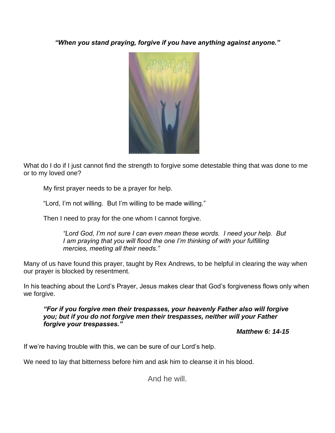*"When you stand praying, forgive if you have anything against anyone."*



What do I do if I just cannot find the strength to forgive some detestable thing that was done to me or to my loved one?

My first prayer needs to be a prayer for help.

"Lord, I'm not willing. But I'm willing to be made willing."

Then I need to pray for the one whom I cannot forgive.

*"Lord God, I'm not sure I can even mean these words. I need your help. But I am praying that you will flood the one I'm thinking of with your fulfilling mercies, meeting all their needs."* 

Many of us have found this prayer, taught by Rex Andrews, to be helpful in clearing the way when our prayer is blocked by resentment.

In his teaching about the Lord's Prayer, Jesus makes clear that God's forgiveness flows only when we forgive.

*"For if you forgive men their trespasses, your heavenly Father also will forgive you; but if you do not forgive men their trespasses, neither will your Father forgive your trespasses."*

*Matthew 6: 14-15*

If we're having trouble with this, we can be sure of our Lord's help.

We need to lay that bitterness before him and ask him to cleanse it in his blood.

And he will.